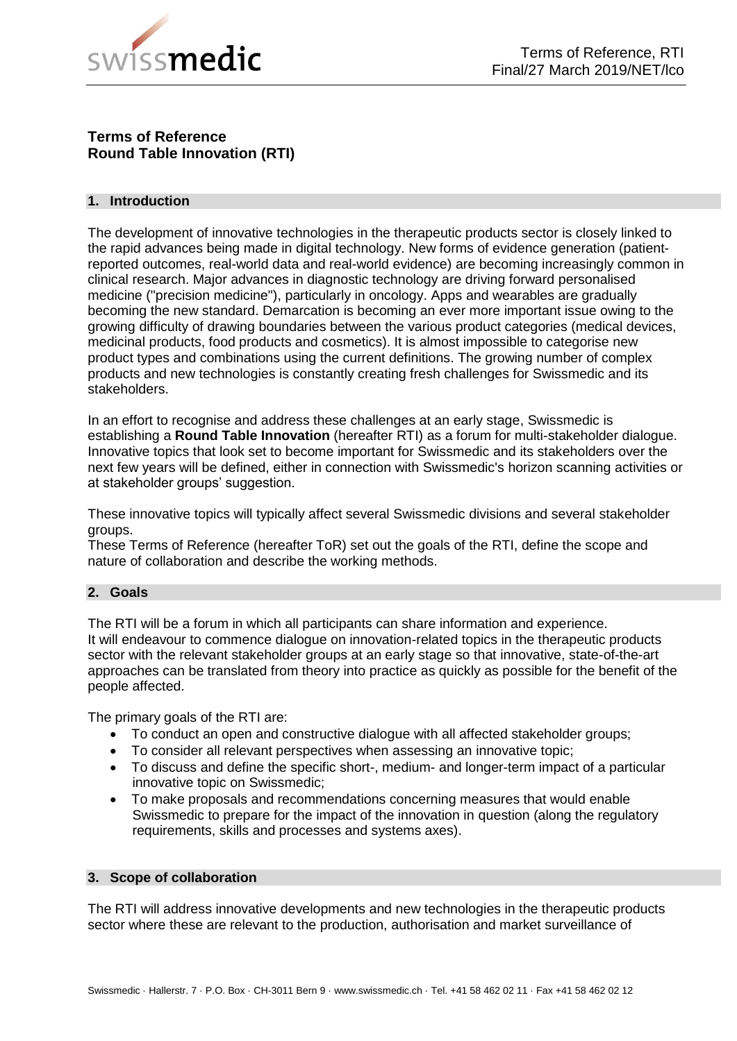

# **Terms of Reference Round Table Innovation (RTI)**

## **1. Introduction**

The development of innovative technologies in the therapeutic products sector is closely linked to the rapid advances being made in digital technology. New forms of evidence generation (patientreported outcomes, real-world data and real-world evidence) are becoming increasingly common in clinical research. Major advances in diagnostic technology are driving forward personalised medicine ("precision medicine"), particularly in oncology. Apps and wearables are gradually becoming the new standard. Demarcation is becoming an ever more important issue owing to the growing difficulty of drawing boundaries between the various product categories (medical devices, medicinal products, food products and cosmetics). It is almost impossible to categorise new product types and combinations using the current definitions. The growing number of complex products and new technologies is constantly creating fresh challenges for Swissmedic and its stakeholders.

In an effort to recognise and address these challenges at an early stage, Swissmedic is establishing a **Round Table Innovation** (hereafter RTI) as a forum for multi-stakeholder dialogue. Innovative topics that look set to become important for Swissmedic and its stakeholders over the next few years will be defined, either in connection with Swissmedic's horizon scanning activities or at stakeholder groups' suggestion.

These innovative topics will typically affect several Swissmedic divisions and several stakeholder groups.

These Terms of Reference (hereafter ToR) set out the goals of the RTI, define the scope and nature of collaboration and describe the working methods.

## **2. Goals**

The RTI will be a forum in which all participants can share information and experience. It will endeavour to commence dialogue on innovation-related topics in the therapeutic products sector with the relevant stakeholder groups at an early stage so that innovative, state-of-the-art approaches can be translated from theory into practice as quickly as possible for the benefit of the people affected.

The primary goals of the RTI are:

- To conduct an open and constructive dialogue with all affected stakeholder groups;
- To consider all relevant perspectives when assessing an innovative topic;
- To discuss and define the specific short-, medium- and longer-term impact of a particular innovative topic on Swissmedic;
- To make proposals and recommendations concerning measures that would enable Swissmedic to prepare for the impact of the innovation in question (along the regulatory requirements, skills and processes and systems axes).

#### **3. Scope of collaboration**

The RTI will address innovative developments and new technologies in the therapeutic products sector where these are relevant to the production, authorisation and market surveillance of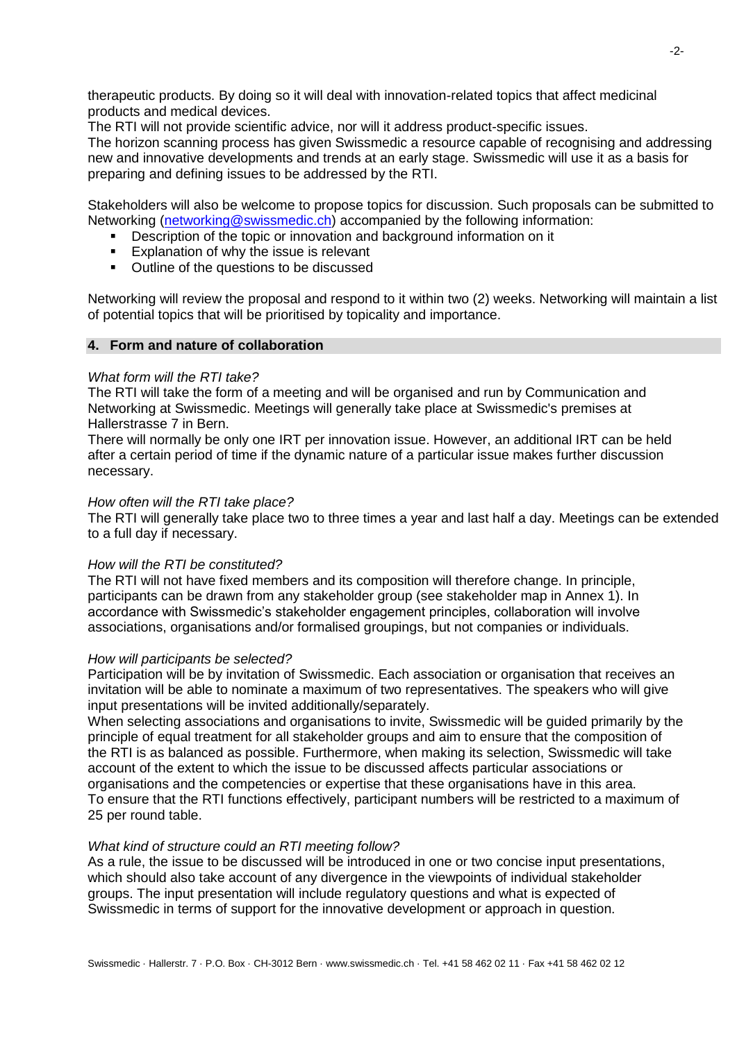therapeutic products. By doing so it will deal with innovation-related topics that affect medicinal products and medical devices.

The RTI will not provide scientific advice, nor will it address product-specific issues.

The horizon scanning process has given Swissmedic a resource capable of recognising and addressing new and innovative developments and trends at an early stage. Swissmedic will use it as a basis for preparing and defining issues to be addressed by the RTI.

Stakeholders will also be welcome to propose topics for discussion. Such proposals can be submitted to Networking [\(networking@swissmedic.ch\)](mailto:networking@swissmedic.ch) accompanied by the following information:

- **•** Description of the topic or innovation and background information on it
- **Explanation of why the issue is relevant**
- Outline of the questions to be discussed

Networking will review the proposal and respond to it within two (2) weeks. Networking will maintain a list of potential topics that will be prioritised by topicality and importance.

### **4. Form and nature of collaboration**

#### *What form will the RTI take?*

The RTI will take the form of a meeting and will be organised and run by Communication and Networking at Swissmedic. Meetings will generally take place at Swissmedic's premises at Hallerstrasse 7 in Bern.

There will normally be only one IRT per innovation issue. However, an additional IRT can be held after a certain period of time if the dynamic nature of a particular issue makes further discussion necessary.

#### *How often will the RTI take place?*

The RTI will generally take place two to three times a year and last half a day. Meetings can be extended to a full day if necessary.

## *How will the RTI be constituted?*

The RTI will not have fixed members and its composition will therefore change. In principle, participants can be drawn from any stakeholder group (see stakeholder map in Annex 1). In accordance with Swissmedic's stakeholder engagement principles, collaboration will involve associations, organisations and/or formalised groupings, but not companies or individuals.

#### *How will participants be selected?*

Participation will be by invitation of Swissmedic. Each association or organisation that receives an invitation will be able to nominate a maximum of two representatives. The speakers who will give input presentations will be invited additionally/separately.

When selecting associations and organisations to invite, Swissmedic will be guided primarily by the principle of equal treatment for all stakeholder groups and aim to ensure that the composition of the RTI is as balanced as possible. Furthermore, when making its selection, Swissmedic will take account of the extent to which the issue to be discussed affects particular associations or organisations and the competencies or expertise that these organisations have in this area. To ensure that the RTI functions effectively, participant numbers will be restricted to a maximum of 25 per round table.

#### *What kind of structure could an RTI meeting follow?*

As a rule, the issue to be discussed will be introduced in one or two concise input presentations, which should also take account of any divergence in the viewpoints of individual stakeholder groups. The input presentation will include regulatory questions and what is expected of Swissmedic in terms of support for the innovative development or approach in question.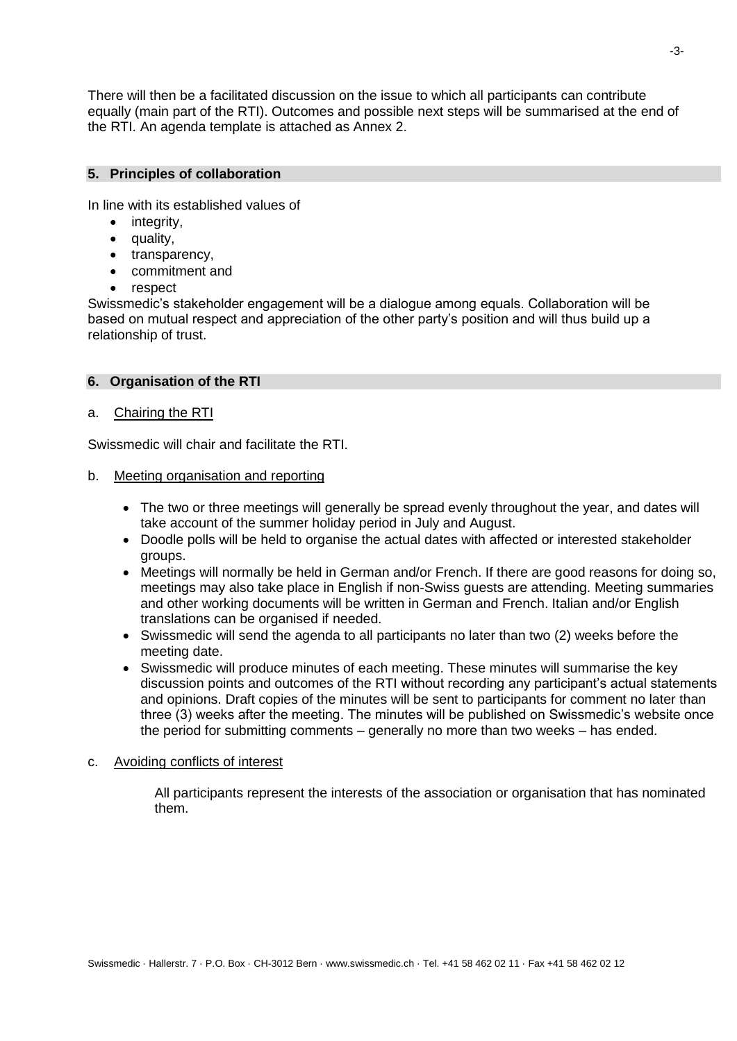There will then be a facilitated discussion on the issue to which all participants can contribute equally (main part of the RTI). Outcomes and possible next steps will be summarised at the end of the RTI. An agenda template is attached as Annex 2.

#### **5. Principles of collaboration**

In line with its established values of

- integrity,
- quality,
- transparency,
- commitment and
- respect

Swissmedic's stakeholder engagement will be a dialogue among equals. Collaboration will be based on mutual respect and appreciation of the other party's position and will thus build up a relationship of trust.

#### **6. Organisation of the RTI**

## a. Chairing the RTI

Swissmedic will chair and facilitate the RTI.

- b. Meeting organisation and reporting
	- The two or three meetings will generally be spread evenly throughout the year, and dates will take account of the summer holiday period in July and August.
	- Doodle polls will be held to organise the actual dates with affected or interested stakeholder groups.
	- Meetings will normally be held in German and/or French. If there are good reasons for doing so, meetings may also take place in English if non-Swiss guests are attending. Meeting summaries and other working documents will be written in German and French. Italian and/or English translations can be organised if needed.
	- Swissmedic will send the agenda to all participants no later than two (2) weeks before the meeting date.
	- Swissmedic will produce minutes of each meeting. These minutes will summarise the key discussion points and outcomes of the RTI without recording any participant's actual statements and opinions. Draft copies of the minutes will be sent to participants for comment no later than three (3) weeks after the meeting. The minutes will be published on Swissmedic's website once the period for submitting comments – generally no more than two weeks – has ended.
- c. Avoiding conflicts of interest

All participants represent the interests of the association or organisation that has nominated them.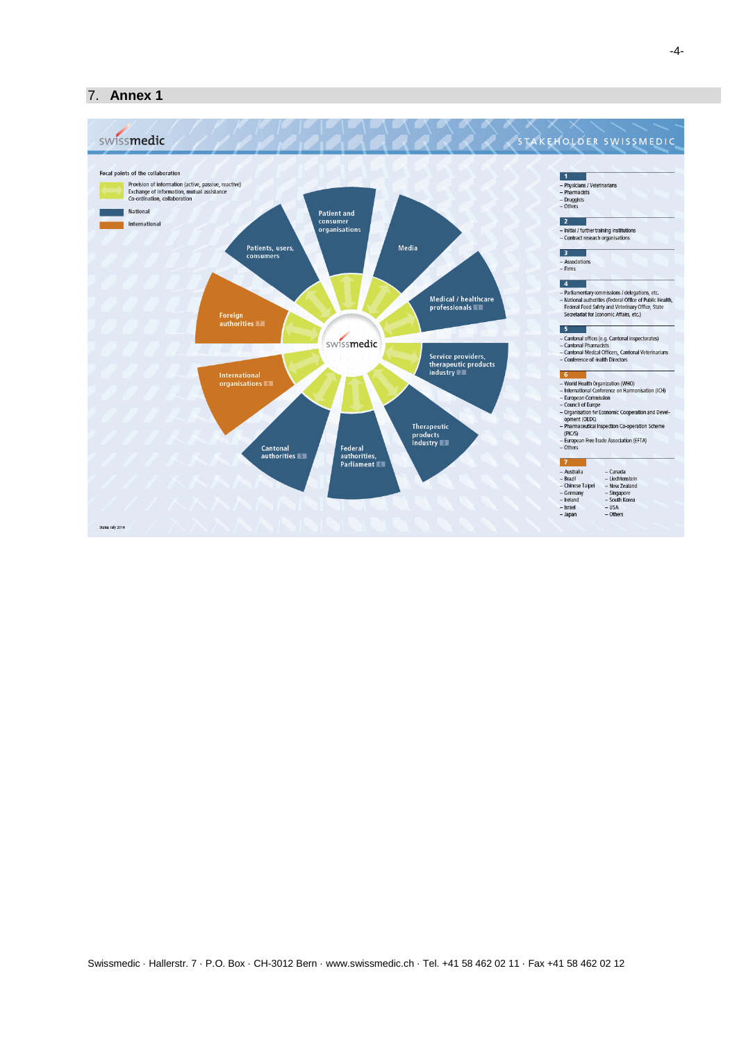### 7. **Annex 1**